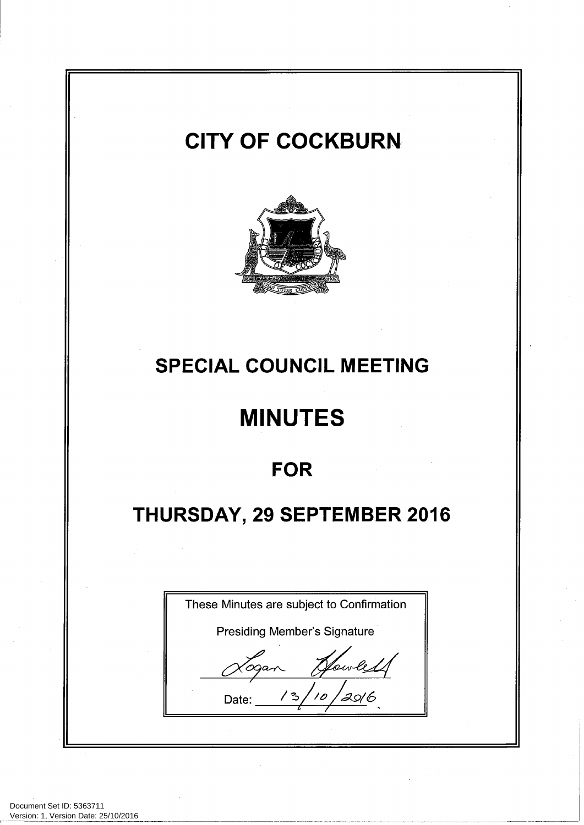# **CITY OF COCKBURN SPECIAL COUNCIL MEETING MINUTES FOR** THURSDAY, 29 SEPTEMBER 2016 These Minutes are subject to Confirmation **Presiding Member's Signature** Date:

Document Set ID: 5363711<br>Version: 1, Version Date: 25/10/2016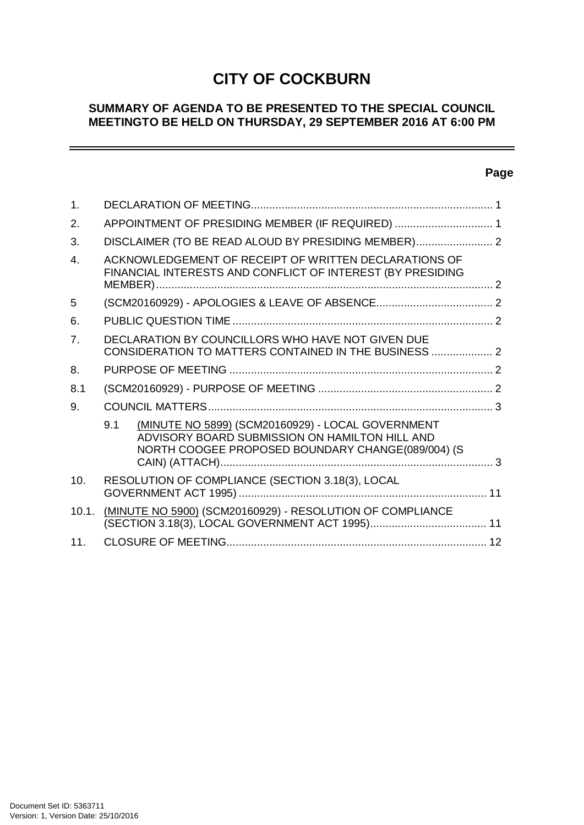# **CITY OF COCKBURN**

## **SUMMARY OF AGENDA TO BE PRESENTED TO THE SPECIAL COUNCIL MEETINGTO BE HELD ON THURSDAY, 29 SEPTEMBER 2016 AT 6:00 PM**

## **Page**

 $=$ 

| $\mathbf{1}$ . |                                                                                                                     |                                                                                                                                                          |  |  |  |
|----------------|---------------------------------------------------------------------------------------------------------------------|----------------------------------------------------------------------------------------------------------------------------------------------------------|--|--|--|
| 2 <sub>1</sub> | APPOINTMENT OF PRESIDING MEMBER (IF REQUIRED)  1                                                                    |                                                                                                                                                          |  |  |  |
| 3.             | DISCLAIMER (TO BE READ ALOUD BY PRESIDING MEMBER) 2                                                                 |                                                                                                                                                          |  |  |  |
| $\mathbf{4}$   | ACKNOWLEDGEMENT OF RECEIPT OF WRITTEN DECLARATIONS OF<br>FINANCIAL INTERESTS AND CONFLICT OF INTEREST (BY PRESIDING |                                                                                                                                                          |  |  |  |
| 5              |                                                                                                                     |                                                                                                                                                          |  |  |  |
| 6.             |                                                                                                                     |                                                                                                                                                          |  |  |  |
| 7.             | DECLARATION BY COUNCILLORS WHO HAVE NOT GIVEN DUE<br>CONSIDERATION TO MATTERS CONTAINED IN THE BUSINESS  2          |                                                                                                                                                          |  |  |  |
| 8.             |                                                                                                                     |                                                                                                                                                          |  |  |  |
| 8.1            |                                                                                                                     |                                                                                                                                                          |  |  |  |
| 9.             |                                                                                                                     |                                                                                                                                                          |  |  |  |
|                | 9.1                                                                                                                 | (MINUTE NO 5899) (SCM20160929) - LOCAL GOVERNMENT<br>ADVISORY BOARD SUBMISSION ON HAMILTON HILL AND<br>NORTH COOGEE PROPOSED BOUNDARY CHANGE(089/004) (S |  |  |  |
| 10.            | RESOLUTION OF COMPLIANCE (SECTION 3.18(3), LOCAL                                                                    |                                                                                                                                                          |  |  |  |
| 10.1.          |                                                                                                                     | (MINUTE NO 5900) (SCM20160929) - RESOLUTION OF COMPLIANCE                                                                                                |  |  |  |
| 11.            |                                                                                                                     |                                                                                                                                                          |  |  |  |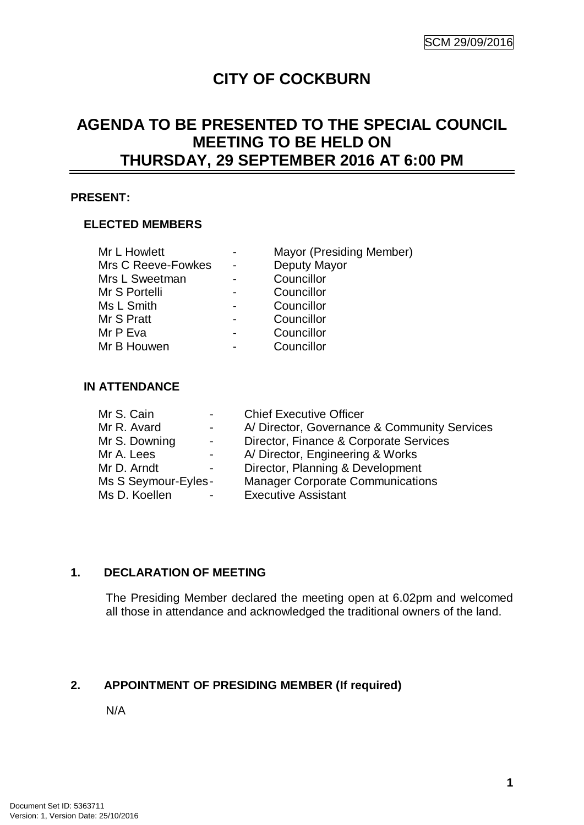# **CITY OF COCKBURN**

# **AGENDA TO BE PRESENTED TO THE SPECIAL COUNCIL MEETING TO BE HELD ON THURSDAY, 29 SEPTEMBER 2016 AT 6:00 PM**

#### **PRESENT:**

#### **ELECTED MEMBERS**

| Mr L Howlett       |                          | Mayor (Presiding Member) |
|--------------------|--------------------------|--------------------------|
| Mrs C Reeve-Fowkes |                          | Deputy Mayor             |
| Mrs L Sweetman     |                          | Councillor               |
| Mr S Portelli      |                          | Councillor               |
| Ms L Smith         |                          | Councillor               |
| Mr S Pratt         |                          | Councillor               |
| Mr P Eva           | $\overline{\phantom{0}}$ | Councillor               |
| Mr B Houwen        |                          | Councillor               |

#### **IN ATTENDANCE**

| A/ Director, Governance & Community Services |
|----------------------------------------------|
| Director, Finance & Corporate Services       |
| A/ Director, Engineering & Works             |
| Director, Planning & Development             |
| <b>Manager Corporate Communications</b>      |
|                                              |
|                                              |

#### **1. DECLARATION OF MEETING**

The Presiding Member declared the meeting open at 6.02pm and welcomed all those in attendance and acknowledged the traditional owners of the land.

#### **2. APPOINTMENT OF PRESIDING MEMBER (If required)**

N/A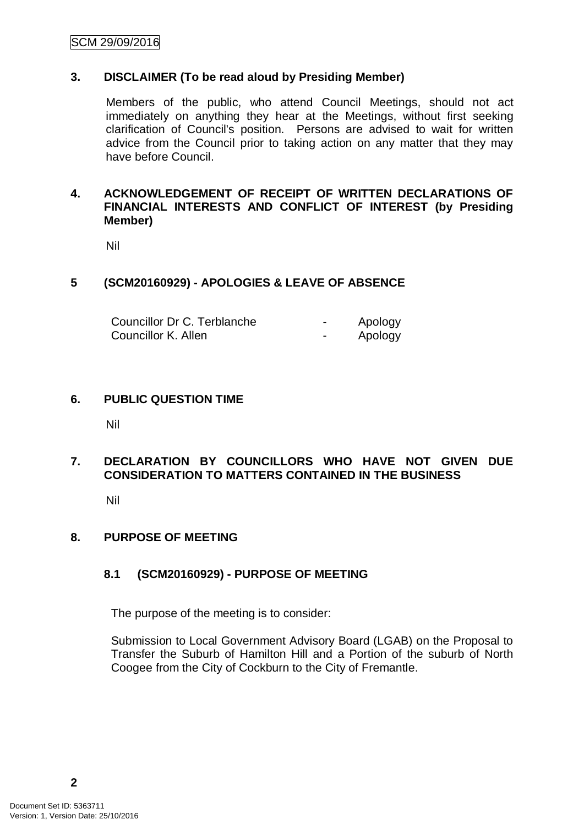#### **3. DISCLAIMER (To be read aloud by Presiding Member)**

Members of the public, who attend Council Meetings, should not act immediately on anything they hear at the Meetings, without first seeking clarification of Council's position. Persons are advised to wait for written advice from the Council prior to taking action on any matter that they may have before Council.

#### **4. ACKNOWLEDGEMENT OF RECEIPT OF WRITTEN DECLARATIONS OF FINANCIAL INTERESTS AND CONFLICT OF INTEREST (by Presiding Member)**

Nil

#### **5 (SCM20160929) - APOLOGIES & LEAVE OF ABSENCE**

| Councillor Dr C. Terblanche | $\blacksquare$           | Apology |
|-----------------------------|--------------------------|---------|
| Councillor K. Allen         | $\overline{\phantom{0}}$ | Apology |

#### **6. PUBLIC QUESTION TIME**

Nil

#### **7. DECLARATION BY COUNCILLORS WHO HAVE NOT GIVEN DUE CONSIDERATION TO MATTERS CONTAINED IN THE BUSINESS**

Nil

#### **8. PURPOSE OF MEETING**

#### **8.1 (SCM20160929) - PURPOSE OF MEETING**

The purpose of the meeting is to consider:

Submission to Local Government Advisory Board (LGAB) on the Proposal to Transfer the Suburb of Hamilton Hill and a Portion of the suburb of North Coogee from the City of Cockburn to the City of Fremantle.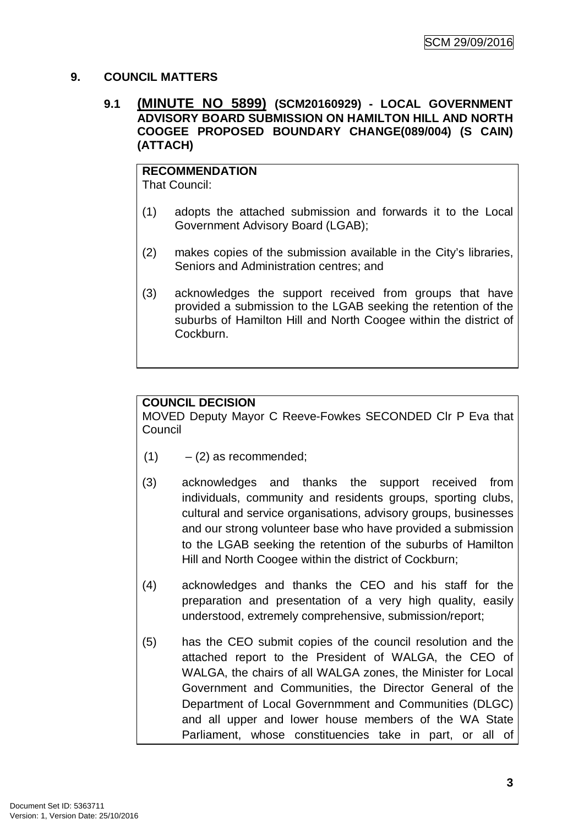#### **9. COUNCIL MATTERS**

#### **9.1 (MINUTE NO 5899) (SCM20160929) - LOCAL GOVERNMENT ADVISORY BOARD SUBMISSION ON HAMILTON HILL AND NORTH COOGEE PROPOSED BOUNDARY CHANGE(089/004) (S CAIN) (ATTACH)**

# **RECOMMENDATION**

That Council:

- (1) adopts the attached submission and forwards it to the Local Government Advisory Board (LGAB);
- (2) makes copies of the submission available in the City's libraries, Seniors and Administration centres; and
- (3) acknowledges the support received from groups that have provided a submission to the LGAB seeking the retention of the suburbs of Hamilton Hill and North Coogee within the district of Cockburn.

## **COUNCIL DECISION**

MOVED Deputy Mayor C Reeve-Fowkes SECONDED Clr P Eva that **Council** 

- $(1)$   $(2)$  as recommended;
- (3) acknowledges and thanks the support received from individuals, community and residents groups, sporting clubs, cultural and service organisations, advisory groups, businesses and our strong volunteer base who have provided a submission to the LGAB seeking the retention of the suburbs of Hamilton Hill and North Coogee within the district of Cockburn;
- (4) acknowledges and thanks the CEO and his staff for the preparation and presentation of a very high quality, easily understood, extremely comprehensive, submission/report;
- (5) has the CEO submit copies of the council resolution and the attached report to the President of WALGA, the CEO of WALGA, the chairs of all WALGA zones, the Minister for Local Government and Communities, the Director General of the Department of Local Governmment and Communities (DLGC) and all upper and lower house members of the WA State Parliament, whose constituencies take in part, or all of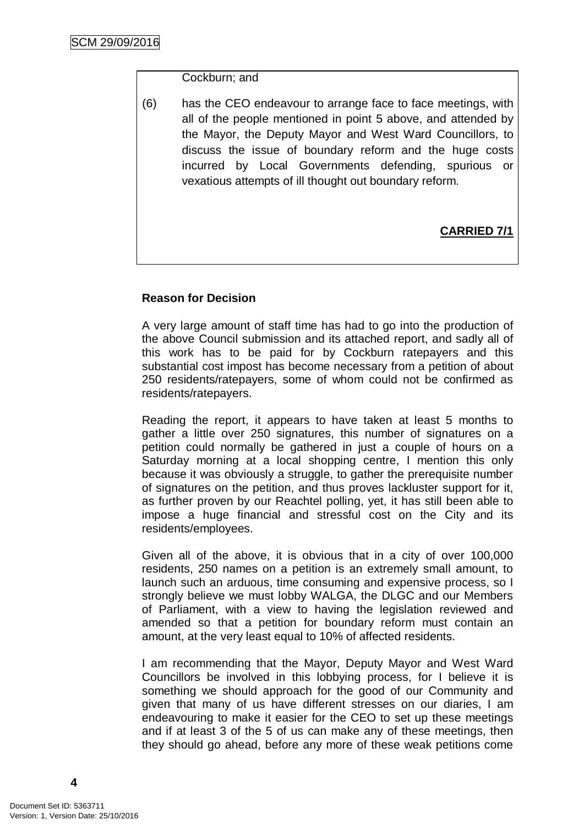#### Cockburn; and

(6) has the CEO endeavour to arrange face to face meetings, with all of the people mentioned in point 5 above, and attended by the Mayor, the Deputy Mayor and West Ward Councillors, to discuss the issue of boundary reform and the huge costs incurred by Local Governments defending, spurious or vexatious attempts of ill thought out boundary reform.

# **CARRIED 7/1**

#### **Reason for Decision**

A very large amount of staff time has had to go into the production of the above Council submission and its attached report, and sadly all of this work has to be paid for by Cockburn ratepayers and this substantial cost impost has become necessary from a petition of about 250 residents/ratepayers, some of whom could not be confirmed as residents/ratepayers.

Reading the report, it appears to have taken at least 5 months to gather a little over 250 signatures, this number of signatures on a petition could normally be gathered in just a couple of hours on a Saturday morning at a local shopping centre, I mention this only because it was obviously a struggle, to gather the prerequisite number of signatures on the petition, and thus proves lackluster support for it, as further proven by our Reachtel polling, yet, it has still been able to impose a huge financial and stressful cost on the City and its residents/employees.

Given all of the above, it is obvious that in a city of over 100,000 residents, 250 names on a petition is an extremely small amount, to launch such an arduous, time consuming and expensive process, so I strongly believe we must lobby WALGA, the DLGC and our Members of Parliament, with a view to having the legislation reviewed and amended so that a petition for boundary reform must contain an amount, at the very least equal to 10% of affected residents.

I am recommending that the Mayor, Deputy Mayor and West Ward Councillors be involved in this lobbying process, for I believe it is something we should approach for the good of our Community and given that many of us have different stresses on our diaries, I am endeavouring to make it easier for the CEO to set up these meetings and if at least 3 of the 5 of us can make any of these meetings, then they should go ahead, before any more of these weak petitions come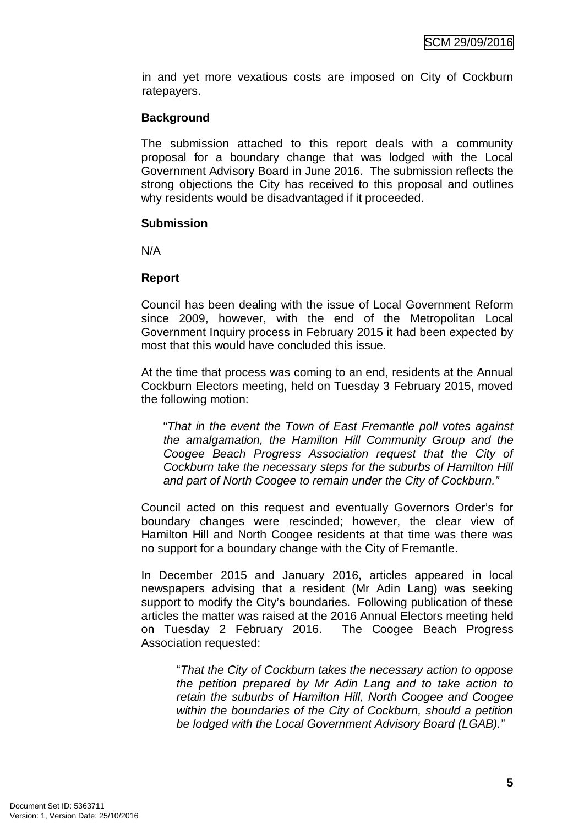in and yet more vexatious costs are imposed on City of Cockburn ratepayers.

#### **Background**

The submission attached to this report deals with a community proposal for a boundary change that was lodged with the Local Government Advisory Board in June 2016. The submission reflects the strong objections the City has received to this proposal and outlines why residents would be disadvantaged if it proceeded.

#### **Submission**

N/A

#### **Report**

Council has been dealing with the issue of Local Government Reform since 2009, however, with the end of the Metropolitan Local Government Inquiry process in February 2015 it had been expected by most that this would have concluded this issue.

At the time that process was coming to an end, residents at the Annual Cockburn Electors meeting, held on Tuesday 3 February 2015, moved the following motion:

"*That in the event the Town of East Fremantle poll votes against the amalgamation, the Hamilton Hill Community Group and the Coogee Beach Progress Association request that the City of Cockburn take the necessary steps for the suburbs of Hamilton Hill and part of North Coogee to remain under the City of Cockburn."*

Council acted on this request and eventually Governors Order's for boundary changes were rescinded; however, the clear view of Hamilton Hill and North Coogee residents at that time was there was no support for a boundary change with the City of Fremantle.

In December 2015 and January 2016, articles appeared in local newspapers advising that a resident (Mr Adin Lang) was seeking support to modify the City's boundaries. Following publication of these articles the matter was raised at the 2016 Annual Electors meeting held on Tuesday 2 February 2016. The Coogee Beach Progress Association requested:

"*That the City of Cockburn takes the necessary action to oppose the petition prepared by Mr Adin Lang and to take action to retain the suburbs of Hamilton Hill, North Coogee and Coogee within the boundaries of the City of Cockburn, should a petition be lodged with the Local Government Advisory Board (LGAB)."*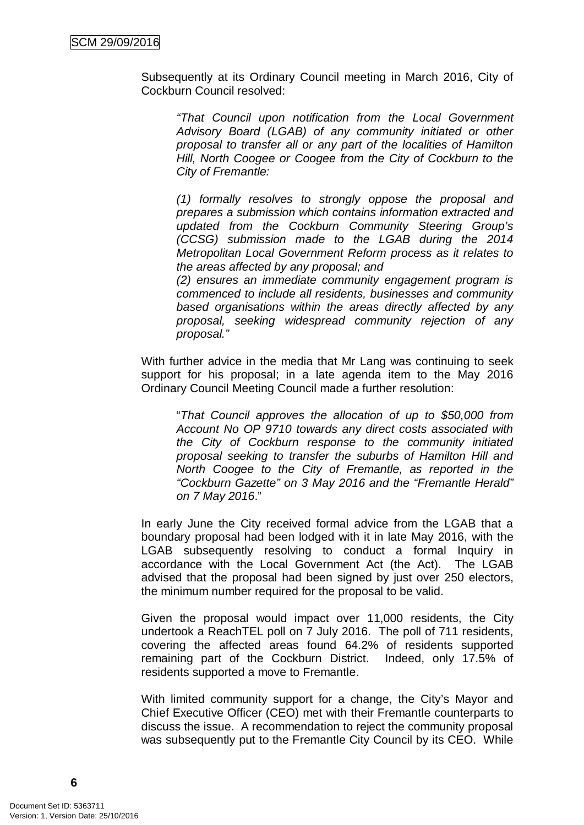Subsequently at its Ordinary Council meeting in March 2016, City of Cockburn Council resolved:

*"That Council upon notification from the Local Government Advisory Board (LGAB) of any community initiated or other proposal to transfer all or any part of the localities of Hamilton Hill, North Coogee or Coogee from the City of Cockburn to the City of Fremantle:* 

*(1) formally resolves to strongly oppose the proposal and prepares a submission which contains information extracted and updated from the Cockburn Community Steering Group's (CCSG) submission made to the LGAB during the 2014 Metropolitan Local Government Reform process as it relates to the areas affected by any proposal; and* 

*(2) ensures an immediate community engagement program is commenced to include all residents, businesses and community based organisations within the areas directly affected by any proposal, seeking widespread community rejection of any proposal."*

With further advice in the media that Mr Lang was continuing to seek support for his proposal; in a late agenda item to the May 2016 Ordinary Council Meeting Council made a further resolution:

"*That Council approves the allocation of up to \$50,000 from Account No OP 9710 towards any direct costs associated with the City of Cockburn response to the community initiated proposal seeking to transfer the suburbs of Hamilton Hill and North Coogee to the City of Fremantle, as reported in the "Cockburn Gazette" on 3 May 2016 and the "Fremantle Herald" on 7 May 2016*."

In early June the City received formal advice from the LGAB that a boundary proposal had been lodged with it in late May 2016, with the LGAB subsequently resolving to conduct a formal Inquiry in accordance with the Local Government Act (the Act). The LGAB advised that the proposal had been signed by just over 250 electors, the minimum number required for the proposal to be valid.

Given the proposal would impact over 11,000 residents, the City undertook a ReachTEL poll on 7 July 2016. The poll of 711 residents, covering the affected areas found 64.2% of residents supported remaining part of the Cockburn District. Indeed, only 17.5% of residents supported a move to Fremantle.

With limited community support for a change, the City's Mayor and Chief Executive Officer (CEO) met with their Fremantle counterparts to discuss the issue. A recommendation to reject the community proposal was subsequently put to the Fremantle City Council by its CEO. While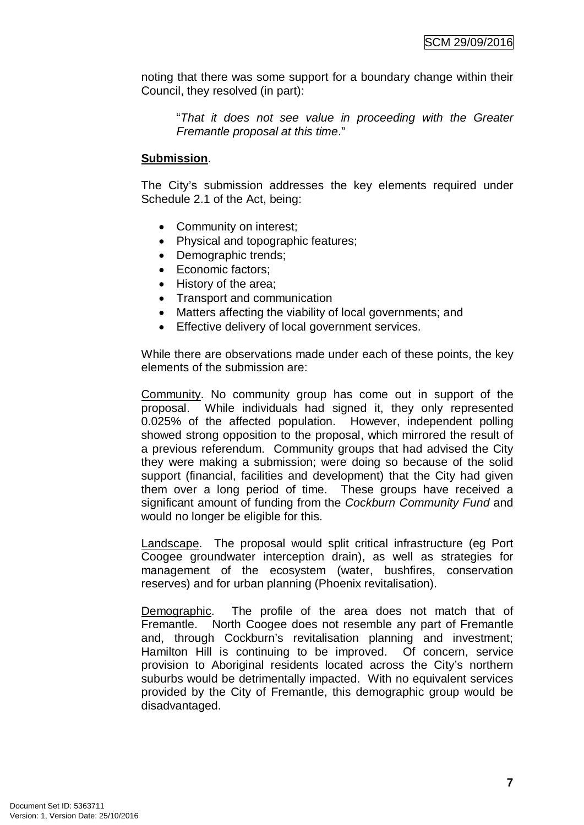noting that there was some support for a boundary change within their Council, they resolved (in part):

"*That it does not see value in proceeding with the Greater Fremantle proposal at this time*."

#### **Submission**.

The City's submission addresses the key elements required under Schedule 2.1 of the Act, being:

- Community on interest;
- Physical and topographic features;
- Demographic trends;
- Economic factors:
- History of the area;
- Transport and communication
- Matters affecting the viability of local governments; and
- Effective delivery of local government services.

While there are observations made under each of these points, the key elements of the submission are:

Community. No community group has come out in support of the proposal. While individuals had signed it, they only represented 0.025% of the affected population. However, independent polling showed strong opposition to the proposal, which mirrored the result of a previous referendum. Community groups that had advised the City they were making a submission; were doing so because of the solid support (financial, facilities and development) that the City had given them over a long period of time. These groups have received a significant amount of funding from the *Cockburn Community Fund* and would no longer be eligible for this.

Landscape. The proposal would split critical infrastructure (eg Port Coogee groundwater interception drain), as well as strategies for management of the ecosystem (water, bushfires, conservation reserves) and for urban planning (Phoenix revitalisation).

Demographic. The profile of the area does not match that of Fremantle. North Coogee does not resemble any part of Fremantle and, through Cockburn's revitalisation planning and investment; Hamilton Hill is continuing to be improved. Of concern, service provision to Aboriginal residents located across the City's northern suburbs would be detrimentally impacted. With no equivalent services provided by the City of Fremantle, this demographic group would be disadvantaged.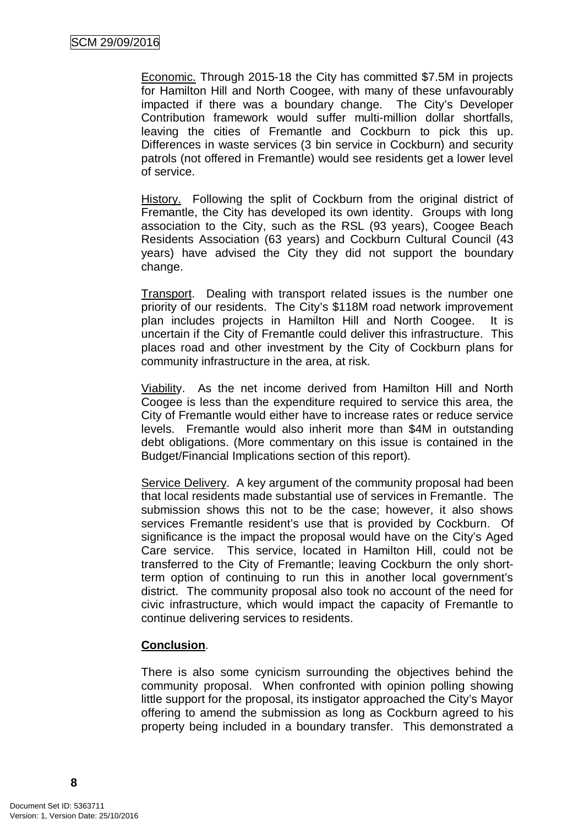Economic. Through 2015-18 the City has committed \$7.5M in projects for Hamilton Hill and North Coogee, with many of these unfavourably impacted if there was a boundary change. The City's Developer Contribution framework would suffer multi-million dollar shortfalls, leaving the cities of Fremantle and Cockburn to pick this up. Differences in waste services (3 bin service in Cockburn) and security patrols (not offered in Fremantle) would see residents get a lower level of service.

History. Following the split of Cockburn from the original district of Fremantle, the City has developed its own identity. Groups with long association to the City, such as the RSL (93 years), Coogee Beach Residents Association (63 years) and Cockburn Cultural Council (43 years) have advised the City they did not support the boundary change.

Transport. Dealing with transport related issues is the number one priority of our residents. The City's \$118M road network improvement plan includes projects in Hamilton Hill and North Coogee. It is uncertain if the City of Fremantle could deliver this infrastructure. This places road and other investment by the City of Cockburn plans for community infrastructure in the area, at risk.

Viability. As the net income derived from Hamilton Hill and North Coogee is less than the expenditure required to service this area, the City of Fremantle would either have to increase rates or reduce service levels. Fremantle would also inherit more than \$4M in outstanding debt obligations. (More commentary on this issue is contained in the Budget/Financial Implications section of this report).

Service Delivery. A key argument of the community proposal had been that local residents made substantial use of services in Fremantle. The submission shows this not to be the case; however, it also shows services Fremantle resident's use that is provided by Cockburn. Of significance is the impact the proposal would have on the City's Aged Care service. This service, located in Hamilton Hill, could not be transferred to the City of Fremantle; leaving Cockburn the only shortterm option of continuing to run this in another local government's district. The community proposal also took no account of the need for civic infrastructure, which would impact the capacity of Fremantle to continue delivering services to residents.

#### **Conclusion**.

There is also some cynicism surrounding the objectives behind the community proposal. When confronted with opinion polling showing little support for the proposal, its instigator approached the City's Mayor offering to amend the submission as long as Cockburn agreed to his property being included in a boundary transfer. This demonstrated a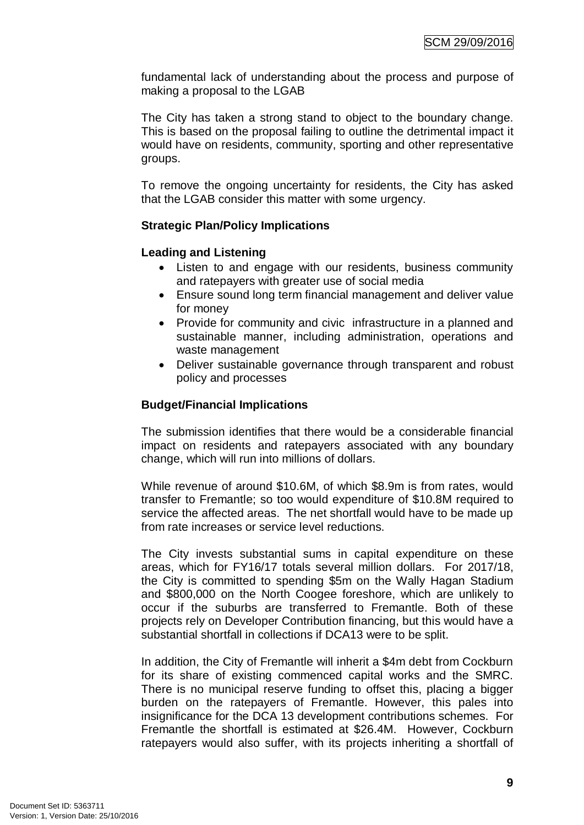fundamental lack of understanding about the process and purpose of making a proposal to the LGAB

The City has taken a strong stand to object to the boundary change. This is based on the proposal failing to outline the detrimental impact it would have on residents, community, sporting and other representative groups.

To remove the ongoing uncertainty for residents, the City has asked that the LGAB consider this matter with some urgency.

#### **Strategic Plan/Policy Implications**

#### **Leading and Listening**

- Listen to and engage with our residents, business community and ratepayers with greater use of social media
- Ensure sound long term financial management and deliver value for money
- Provide for community and civic infrastructure in a planned and sustainable manner, including administration, operations and waste management
- Deliver sustainable governance through transparent and robust policy and processes

#### **Budget/Financial Implications**

The submission identifies that there would be a considerable financial impact on residents and ratepayers associated with any boundary change, which will run into millions of dollars.

While revenue of around \$10.6M, of which \$8.9m is from rates, would transfer to Fremantle; so too would expenditure of \$10.8M required to service the affected areas. The net shortfall would have to be made up from rate increases or service level reductions.

The City invests substantial sums in capital expenditure on these areas, which for FY16/17 totals several million dollars. For 2017/18, the City is committed to spending \$5m on the Wally Hagan Stadium and \$800,000 on the North Coogee foreshore, which are unlikely to occur if the suburbs are transferred to Fremantle. Both of these projects rely on Developer Contribution financing, but this would have a substantial shortfall in collections if DCA13 were to be split.

In addition, the City of Fremantle will inherit a \$4m debt from Cockburn for its share of existing commenced capital works and the SMRC. There is no municipal reserve funding to offset this, placing a bigger burden on the ratepayers of Fremantle. However, this pales into insignificance for the DCA 13 development contributions schemes. For Fremantle the shortfall is estimated at \$26.4M. However, Cockburn ratepayers would also suffer, with its projects inheriting a shortfall of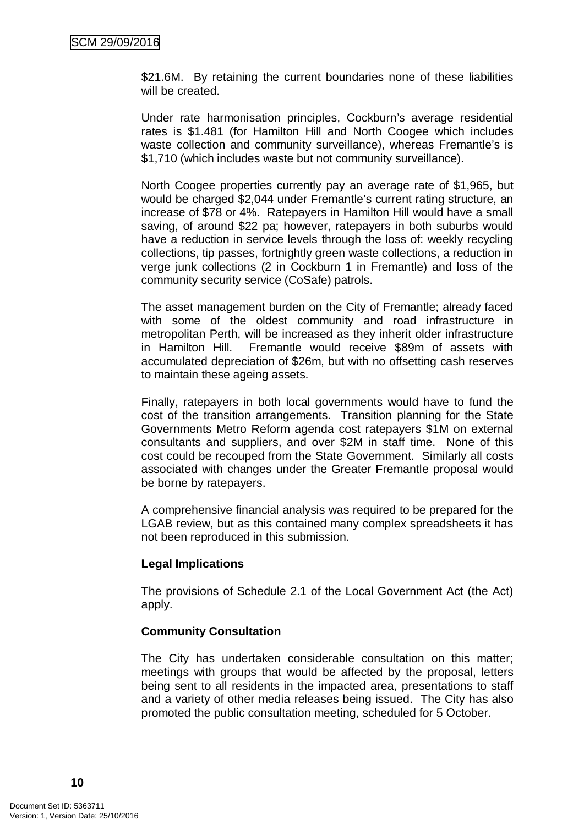\$21.6M. By retaining the current boundaries none of these liabilities will be created.

Under rate harmonisation principles, Cockburn's average residential rates is \$1.481 (for Hamilton Hill and North Coogee which includes waste collection and community surveillance), whereas Fremantle's is \$1,710 (which includes waste but not community surveillance).

North Coogee properties currently pay an average rate of \$1,965, but would be charged \$2,044 under Fremantle's current rating structure, an increase of \$78 or 4%. Ratepayers in Hamilton Hill would have a small saving, of around \$22 pa; however, ratepayers in both suburbs would have a reduction in service levels through the loss of: weekly recycling collections, tip passes, fortnightly green waste collections, a reduction in verge junk collections (2 in Cockburn 1 in Fremantle) and loss of the community security service (CoSafe) patrols.

The asset management burden on the City of Fremantle; already faced with some of the oldest community and road infrastructure in metropolitan Perth, will be increased as they inherit older infrastructure in Hamilton Hill. Fremantle would receive \$89m of assets with accumulated depreciation of \$26m, but with no offsetting cash reserves to maintain these ageing assets.

Finally, ratepayers in both local governments would have to fund the cost of the transition arrangements. Transition planning for the State Governments Metro Reform agenda cost ratepayers \$1M on external consultants and suppliers, and over \$2M in staff time. None of this cost could be recouped from the State Government. Similarly all costs associated with changes under the Greater Fremantle proposal would be borne by ratepayers.

A comprehensive financial analysis was required to be prepared for the LGAB review, but as this contained many complex spreadsheets it has not been reproduced in this submission.

#### **Legal Implications**

The provisions of Schedule 2.1 of the Local Government Act (the Act) apply.

#### **Community Consultation**

The City has undertaken considerable consultation on this matter; meetings with groups that would be affected by the proposal, letters being sent to all residents in the impacted area, presentations to staff and a variety of other media releases being issued. The City has also promoted the public consultation meeting, scheduled for 5 October.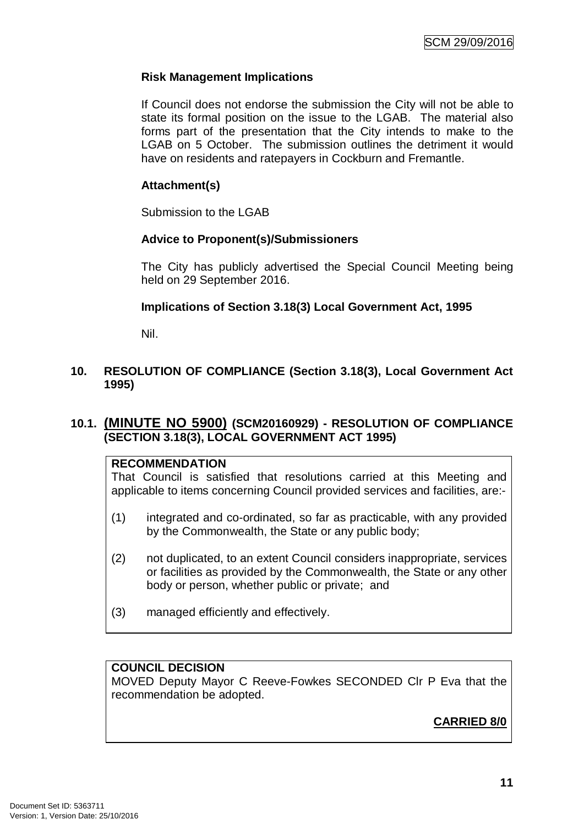#### **Risk Management Implications**

If Council does not endorse the submission the City will not be able to state its formal position on the issue to the LGAB. The material also forms part of the presentation that the City intends to make to the LGAB on 5 October. The submission outlines the detriment it would have on residents and ratepayers in Cockburn and Fremantle.

#### **Attachment(s)**

Submission to the LGAB

#### **Advice to Proponent(s)/Submissioners**

The City has publicly advertised the Special Council Meeting being held on 29 September 2016.

#### **Implications of Section 3.18(3) Local Government Act, 1995**

Nil.

#### **10. RESOLUTION OF COMPLIANCE (Section 3.18(3), Local Government Act 1995)**

#### **10.1. (MINUTE NO 5900) (SCM20160929) - RESOLUTION OF COMPLIANCE (SECTION 3.18(3), LOCAL GOVERNMENT ACT 1995)**

#### **RECOMMENDATION**

That Council is satisfied that resolutions carried at this Meeting and applicable to items concerning Council provided services and facilities, are:-

- (1) integrated and co-ordinated, so far as practicable, with any provided by the Commonwealth, the State or any public body;
- (2) not duplicated, to an extent Council considers inappropriate, services or facilities as provided by the Commonwealth, the State or any other body or person, whether public or private; and
- (3) managed efficiently and effectively.

## **COUNCIL DECISION**

MOVED Deputy Mayor C Reeve-Fowkes SECONDED Clr P Eva that the recommendation be adopted.

# **CARRIED 8/0**